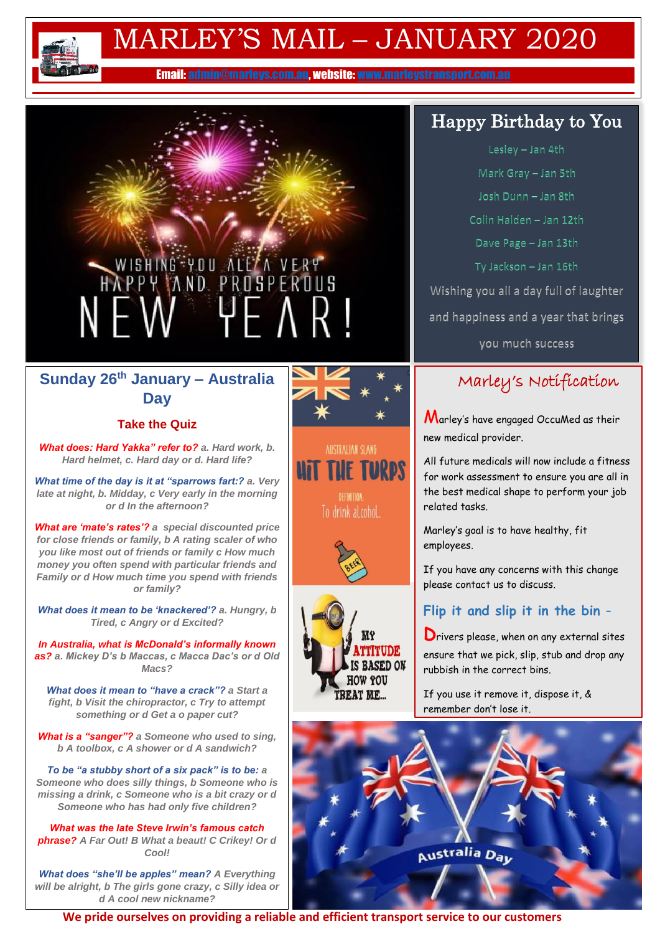

## MARLEY'S MAIL – JANUARY 2020

Email: [admin@marleys.com.au,](mailto:admin@marleys.com.au) website[: www.marleystransport.com.au](http://www.marleystransport.com.au/) 

# WISHING YOU ALL A VERY<br>HAPPY AND PROSPEROUS NEW YEAR!

#### **Sunday 26th January – Australia Day**

#### **Take the Quiz**

*What does: Hard Yakka" refer to? a. Hard work, b. Hard helmet, c. Hard day or d. Hard life?*

*What time of the day is it at "sparrows fart:? a. Very late at night, b. Midday, c Very early in the morning or d In the afternoon?*

*What are 'mate's rates'? a special discounted price for close friends or family, b A rating scaler of who you like most out of friends or family c How much money you often spend with particular friends and Family or d How much time you spend with friends or family?* 

*What does it mean to be 'knackered'? a. Hungry, b Tired, c Angry or d Excited?*

*In Australia, what is McDonald's informally known as? a. Mickey D's b Maccas, c Macca Dac's or d Old Macs?*

*What does it mean to "have a crack"? a Start a fight, b Visit the chiropractor, c Try to attempt something or d Get a o paper cut?*

*What is a "sanger"? a Someone who used to sing, b A toolbox, c A shower or d A sandwich?*

*To be "a stubby short of a six pack" is to be: a Someone who does silly things, b Someone who is missing a drink, c Someone who is a bit crazy or d Someone who has had only five children?*

*What was the late Steve Irwin's famous catch phrase? A Far Out! B What a beaut! C Crikey! Or d Cool!*

*What does "she'll be apples" mean? A Everything will be alright, b The girls gone crazy, c Silly idea or d A cool new nickname?*



**AUSTRALIAN SLANG** *UIT THE TURPS* To drink alcohol.





## Happy Birthday to You

Lesley - Jan 4th

Mark Gray - Jan 5th Josh Dunn - Jan 8th Colin Halden - Jan 12th Dave Page - Jan 13th Ty Jackson - Jan 16th Wishing you all a day full of laughter

and happiness and a year that brings

you much success

#### Marley's Notification

Marley's have engaged OccuMed as their new medical provider.

All future medicals will now include a fitness for work assessment to ensure you are all in the best medical shape to perform your job related tasks.

Marley's goal is to have healthy, fit employees.

If you have any concerns with this change please contact us to discuss.

#### **Flip it and slip it in the bin** –

**D**rivers please, when on any external sites ensure that we pick, slip, stub and drop any rubbish in the correct bins.

If you use it remove it, dispose it, & remember don't lose it.



**We pride ourselves on providing a reliable and efficient transport service to our customers**